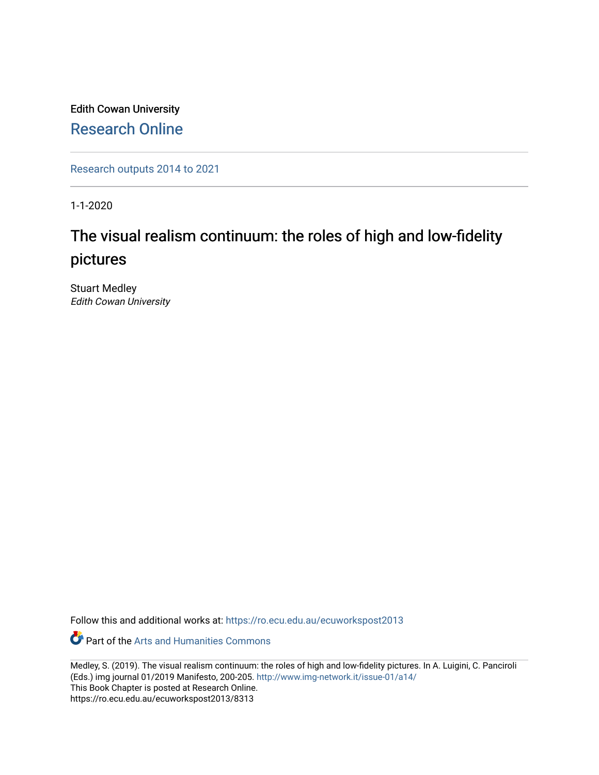Edith Cowan University [Research Online](https://ro.ecu.edu.au/) 

[Research outputs 2014 to 2021](https://ro.ecu.edu.au/ecuworkspost2013) 

1-1-2020

# The visual realism continuum: the roles of high and low-fidelity pictures

Stuart Medley Edith Cowan University

Follow this and additional works at: [https://ro.ecu.edu.au/ecuworkspost2013](https://ro.ecu.edu.au/ecuworkspost2013?utm_source=ro.ecu.edu.au%2Fecuworkspost2013%2F8313&utm_medium=PDF&utm_campaign=PDFCoverPages) 

**Part of the Arts and Humanities Commons** 

Medley, S. (2019). The visual realism continuum: the roles of high and low-fidelity pictures. In A. Luigini, C. Panciroli (Eds.) img journal 01/2019 Manifesto, 200-205.<http://www.img-network.it/issue-01/a14/> This Book Chapter is posted at Research Online. https://ro.ecu.edu.au/ecuworkspost2013/8313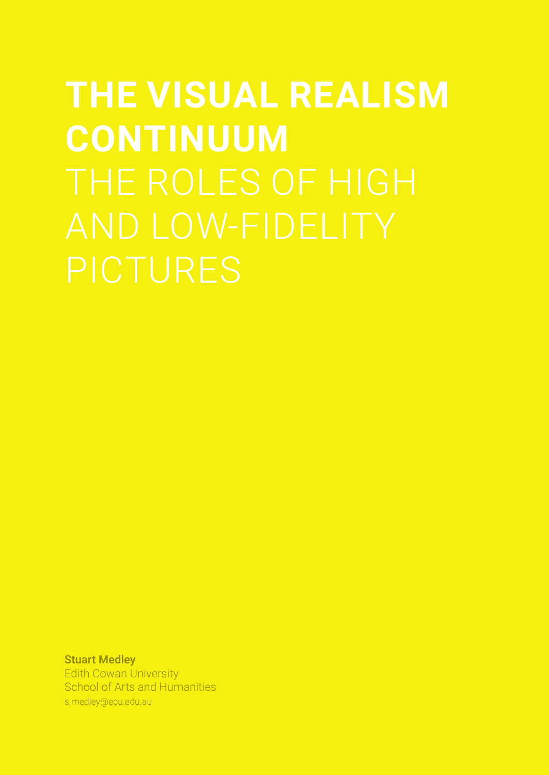# **THE VISUAL REALISM CONTINUUM**

Stuart Medley Edith Cowan University School of Arts and Humanities s.medley@ecu.edu.au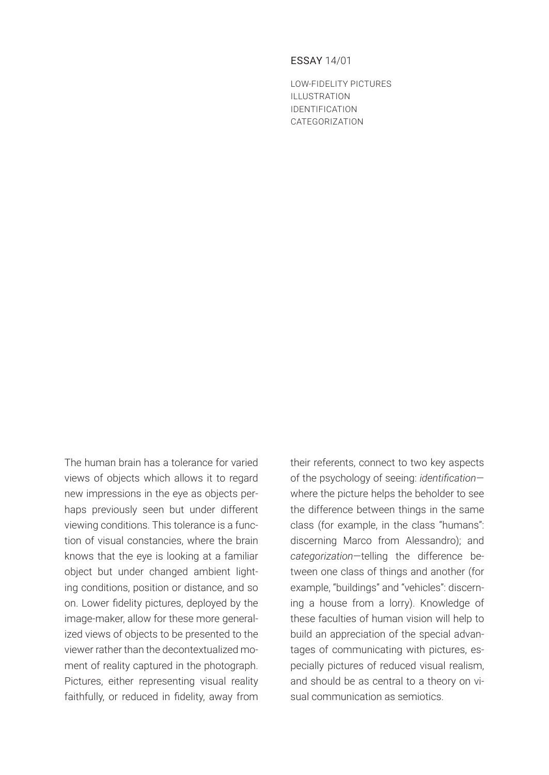### ESSAY 14/01

LOW-FIDELITY PICTURES ILLUSTRATION IDENTIFICATION CATEGORIZATION

The human brain has a tolerance for varied views of objects which allows it to regard new impressions in the eye as objects perhaps previously seen but under different viewing conditions. This tolerance is a function of visual constancies, where the brain knows that the eye is looking at a familiar object but under changed ambient lighting conditions, position or distance, and so on. Lower fidelity pictures, deployed by the image-maker, allow for these more generalized views of objects to be presented to the viewer rather than the decontextualized moment of reality captured in the photograph. Pictures, either representing visual reality faithfully, or reduced in fidelity, away from

their referents, connect to two key aspects of the psychology of seeing: *identification* where the picture helps the beholder to see the difference between things in the same class (for example, in the class "humans": discerning Marco from Alessandro); and *categorization*—telling the difference between one class of things and another (for example, "buildings" and "vehicles": discerning a house from a lorry). Knowledge of these faculties of human vision will help to build an appreciation of the special advantages of communicating with pictures, especially pictures of reduced visual realism, and should be as central to a theory on visual communication as semiotics.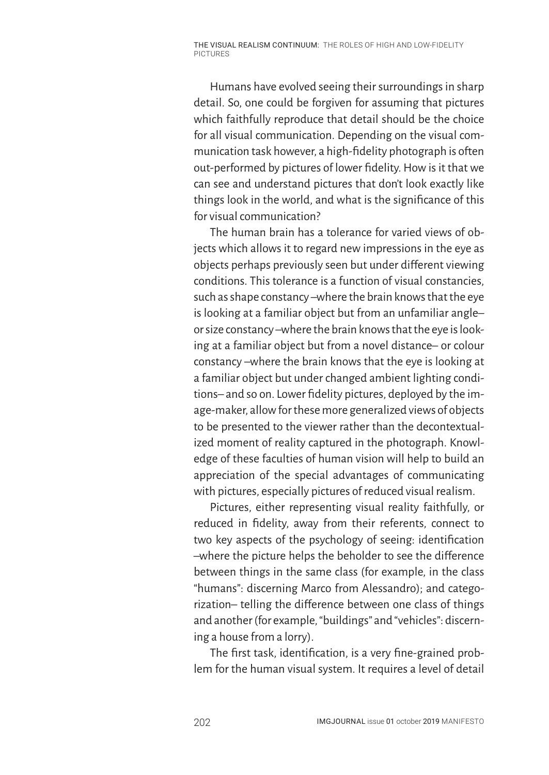Humans have evolved seeing their surroundings in sharp detail. So, one could be forgiven for assuming that pictures which faithfully reproduce that detail should be the choice for all visual communication. Depending on the visual communication task however, a high-fidelity photograph is often out-performed by pictures of lower fidelity. How is it that we can see and understand pictures that don't look exactly like things look in the world, and what is the significance of this for visual communication?

The human brain has a tolerance for varied views of objects which allows it to regard new impressions in the eye as objects perhaps previously seen but under different viewing conditions. This tolerance is a function of visual constancies, such as shape constancy –where the brain knows that the eye is looking at a familiar object but from an unfamiliar angle– or size constancy –where the brain knows that the eye is looking at a familiar object but from a novel distance– or colour constancy –where the brain knows that the eye is looking at a familiar object but under changed ambient lighting conditions– and so on. Lower fidelity pictures, deployed by the image-maker, allow for these more generalized views of objects to be presented to the viewer rather than the decontextualized moment of reality captured in the photograph. Knowledge of these faculties of human vision will help to build an appreciation of the special advantages of communicating with pictures, especially pictures of reduced visual realism.

Pictures, either representing visual reality faithfully, or reduced in fidelity, away from their referents, connect to two key aspects of the psychology of seeing: identification –where the picture helps the beholder to see the difference between things in the same class (for example, in the class "humans": discerning Marco from Alessandro); and categorization– telling the difference between one class of things and another (for example, "buildings" and "vehicles": discerning a house from a lorry).

The first task, identification, is a very fine-grained problem for the human visual system. It requires a level of detail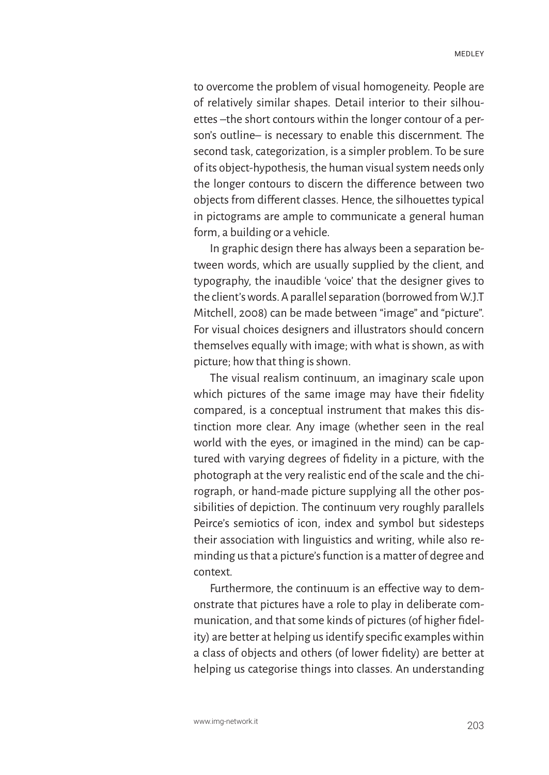to overcome the problem of visual homogeneity. People are of relatively similar shapes. Detail interior to their silhouettes –the short contours within the longer contour of a person's outline– is necessary to enable this discernment. The second task, categorization, is a simpler problem. To be sure of its object-hypothesis, the human visual system needs only the longer contours to discern the difference between two objects from different classes. Hence, the silhouettes typical in pictograms are ample to communicate a general human form, a building or a vehicle.

In graphic design there has always been a separation between words, which are usually supplied by the client, and typography, the inaudible 'voice' that the designer gives to the client's words. A parallel separation (borrowed from W.J.T Mitchell, 2008) can be made between "image" and "picture". For visual choices designers and illustrators should concern themselves equally with image; with what is shown, as with picture; how that thing is shown.

The visual realism continuum, an imaginary scale upon which pictures of the same image may have their fidelity compared, is a conceptual instrument that makes this distinction more clear. Any image (whether seen in the real world with the eyes, or imagined in the mind) can be captured with varying degrees of fidelity in a picture, with the photograph at the very realistic end of the scale and the chirograph, or hand-made picture supplying all the other possibilities of depiction. The continuum very roughly parallels Peirce's semiotics of icon, index and symbol but sidesteps their association with linguistics and writing, while also reminding us that a picture's function is a matter of degree and context.

Furthermore, the continuum is an effective way to demonstrate that pictures have a role to play in deliberate communication, and that some kinds of pictures (of higher fidelity) are better at helping us identify specific examples within a class of objects and others (of lower fidelity) are better at helping us categorise things into classes. An understanding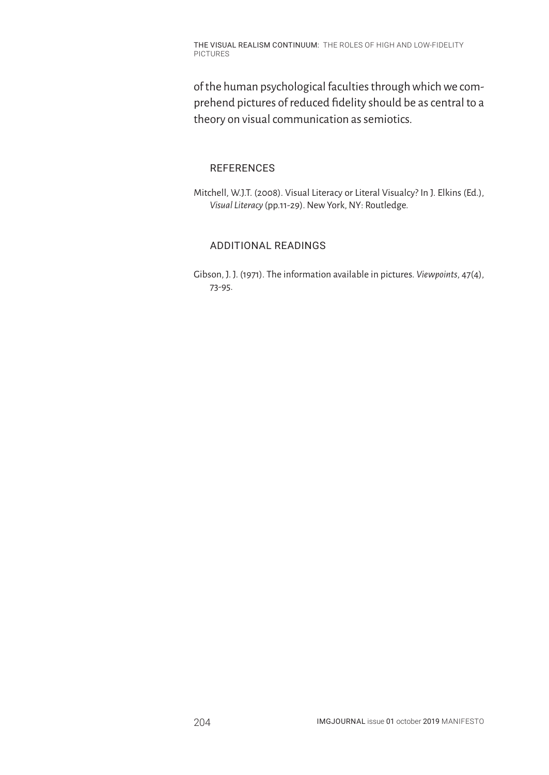THE VISUAL REALISM CONTINUUM: THE ROLES OF HIGH AND LOW-FIDELITY PICTURES

of the human psychological faculties through which we comprehend pictures of reduced fidelity should be as central to a theory on visual communication as semiotics.

# REFERENCES

Mitchell, W.J.T. (2008). Visual Literacy or Literal Visualcy? In J. Elkins (Ed.), *Visual Literacy* (pp.11-29). New York, NY: Routledge.

## ADDITIONAL READINGS

Gibson, J. J. (1971). The information available in pictures. *Viewpoints*, 47(4), 73-95.